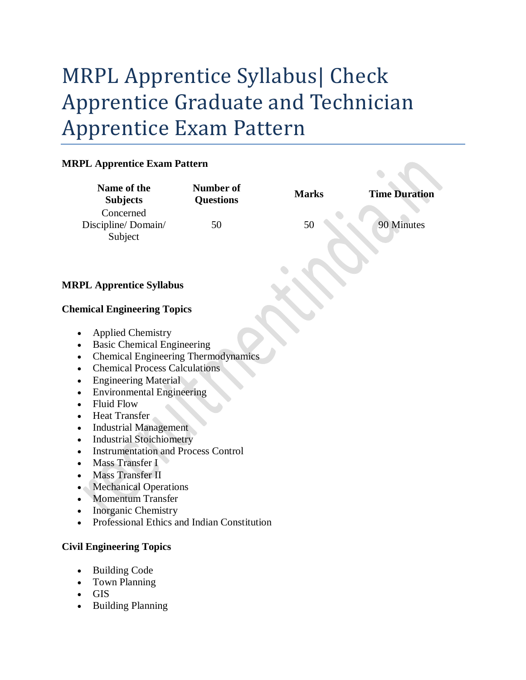# MRPL Apprentice Syllabus| Check Apprentice Graduate and Technician Apprentice Exam Pattern

## **MRPL Apprentice Exam Pattern**

| <b>MRPL Apprentice Exam Pattern</b>                                                                                                                                                                                                                                                                                                                                                                                                                                                                                                                                                                                                                                                      |                                      |              |                      |
|------------------------------------------------------------------------------------------------------------------------------------------------------------------------------------------------------------------------------------------------------------------------------------------------------------------------------------------------------------------------------------------------------------------------------------------------------------------------------------------------------------------------------------------------------------------------------------------------------------------------------------------------------------------------------------------|--------------------------------------|--------------|----------------------|
| Name of the<br><b>Subjects</b>                                                                                                                                                                                                                                                                                                                                                                                                                                                                                                                                                                                                                                                           | <b>Number of</b><br><b>Questions</b> | <b>Marks</b> | <b>Time Duration</b> |
| Concerned                                                                                                                                                                                                                                                                                                                                                                                                                                                                                                                                                                                                                                                                                |                                      |              |                      |
| Discipline/Domain/<br>Subject                                                                                                                                                                                                                                                                                                                                                                                                                                                                                                                                                                                                                                                            | 50                                   | 50           | 90 Minutes           |
|                                                                                                                                                                                                                                                                                                                                                                                                                                                                                                                                                                                                                                                                                          |                                      |              |                      |
| <b>MRPL Apprentice Syllabus</b>                                                                                                                                                                                                                                                                                                                                                                                                                                                                                                                                                                                                                                                          |                                      |              |                      |
| <b>Chemical Engineering Topics</b>                                                                                                                                                                                                                                                                                                                                                                                                                                                                                                                                                                                                                                                       |                                      |              |                      |
| <b>Applied Chemistry</b><br>٠<br><b>Basic Chemical Engineering</b><br>$\bullet$<br><b>Chemical Engineering Thermodynamics</b><br>$\bullet$<br><b>Chemical Process Calculations</b><br>٠<br><b>Engineering Material</b><br><b>Environmental Engineering</b><br>$\bullet$<br><b>Fluid Flow</b><br>$\bullet$<br><b>Heat Transfer</b><br>$\bullet$<br><b>Industrial Management</b><br>$\bullet$<br><b>Industrial Stoichiometry</b><br>٠<br><b>Instrumentation and Process Control</b><br>Mass Transfer I<br>٠<br><b>Mass Transfer II</b><br>$\bullet$<br><b>Mechanical Operations</b><br>٠<br><b>Momentum Transfer</b><br>Inorganic Chemistry<br>Professional Ethics and Indian Constitution |                                      |              |                      |
| <b>Civil Engineering Topics</b>                                                                                                                                                                                                                                                                                                                                                                                                                                                                                                                                                                                                                                                          |                                      |              |                      |

- Building Code
- Town Planning
- GIS
- Building Planning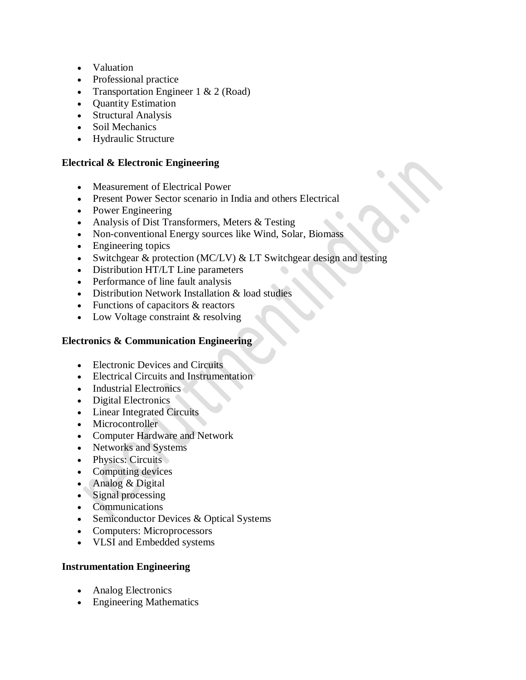- Valuation
- Professional practice
- Transportation Engineer  $1 \& 2 \text{ (Road)}$
- Quantity Estimation
- Structural Analysis
- Soil Mechanics
- Hydraulic Structure

#### **Electrical & Electronic Engineering**

- Measurement of Electrical Power
- Present Power Sector scenario in India and others Electrical
- Power Engineering
- Analysis of Dist Transformers, Meters & Testing
- Non-conventional Energy sources like Wind, Solar, Biomass
- Engineering topics
- Switchgear & protection (MC/LV) & LT Switchgear design and testing
- Distribution HT/LT Line parameters
- Performance of line fault analysis
- Distribution Network Installation & load studies
- Functions of capacitors & reactors
- Low Voltage constraint & resolving

### **Electronics & Communication Engineering**

- Electronic Devices and Circuits
- Electrical Circuits and Instrumentation
- Industrial Electronics
- Digital Electronics
- Linear Integrated Circuits
- Microcontroller
- Computer Hardware and Network
- Networks and Systems
- Physics: Circuits
- Computing devices
- Analog & Digital
- Signal processing
- Communications
- Semiconductor Devices & Optical Systems
- Computers: Microprocessors
- VLSI and Embedded systems

#### **Instrumentation Engineering**

- Analog Electronics
- Engineering Mathematics